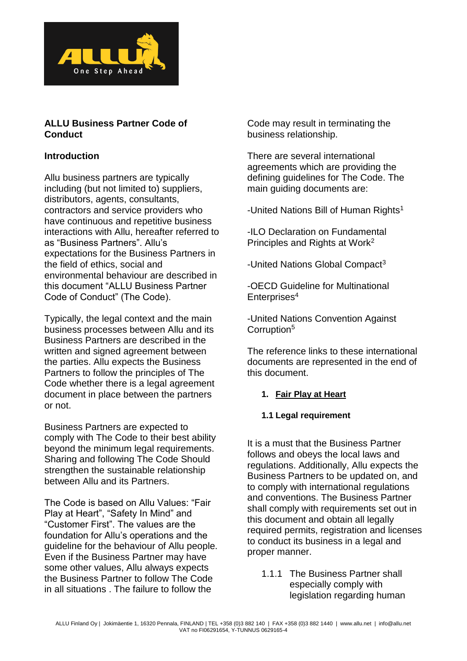

### **ALLU Business Partner Code of Conduct**

### **Introduction**

Allu business partners are typically including (but not limited to) suppliers, distributors, agents, consultants, contractors and service providers who have continuous and repetitive business interactions with Allu, hereafter referred to as "Business Partners". Allu's expectations for the Business Partners in the field of ethics, social and environmental behaviour are described in this document "ALLU Business Partner Code of Conduct" (The Code).

Typically, the legal context and the main business processes between Allu and its Business Partners are described in the written and signed agreement between the parties. Allu expects the Business Partners to follow the principles of The Code whether there is a legal agreement document in place between the partners or not.

Business Partners are expected to comply with The Code to their best ability beyond the minimum legal requirements. Sharing and following The Code Should strengthen the sustainable relationship between Allu and its Partners.

The Code is based on Allu Values: "Fair Play at Heart", "Safety In Mind" and "Customer First". The values are the foundation for Allu's operations and the guideline for the behaviour of Allu people. Even if the Business Partner may have some other values, Allu always expects the Business Partner to follow The Code in all situations . The failure to follow the

Code may result in terminating the business relationship.

There are several international agreements which are providing the defining guidelines for The Code. The main guiding documents are:

-United Nations Bill of Human Rights<sup>1</sup>

-ILO Declaration on Fundamental Principles and Rights at Work<sup>2</sup>

-United Nations Global Compact<sup>3</sup>

-OECD Guideline for Multinational Enterprises<sup>4</sup>

-United Nations Convention Against Corruption<sup>5</sup>

The reference links to these international documents are represented in the end of this document.

## **1. Fair Play at Heart**

### **1.1 Legal requirement**

It is a must that the Business Partner follows and obeys the local laws and regulations. Additionally, Allu expects the Business Partners to be updated on, and to comply with international regulations and conventions. The Business Partner shall comply with requirements set out in this document and obtain all legally required permits, registration and licenses to conduct its business in a legal and proper manner.

1.1.1 The Business Partner shall especially comply with legislation regarding human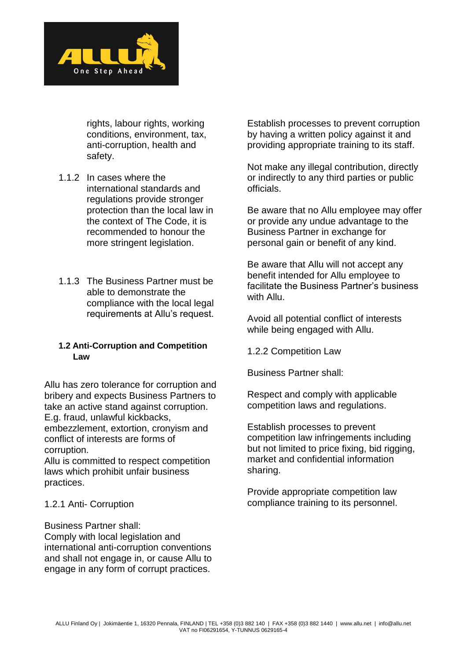

rights, labour rights, working conditions, environment, tax, anti-corruption, health and safety.

- 1.1.2 In cases where the international standards and regulations provide stronger protection than the local law in the context of The Code, it is recommended to honour the more stringent legislation.
- 1.1.3 The Business Partner must be able to demonstrate the compliance with the local legal requirements at Allu's request.

### **1.2 Anti-Corruption and Competition Law**

Allu has zero tolerance for corruption and bribery and expects Business Partners to take an active stand against corruption. E.g. fraud, unlawful kickbacks, embezzlement, extortion, cronyism and conflict of interests are forms of

corruption. Allu is committed to respect competition laws which prohibit unfair business practices.

## 1.2.1 Anti- Corruption

Business Partner shall: Comply with local legislation and international anti-corruption conventions and shall not engage in, or cause Allu to engage in any form of corrupt practices.

Establish processes to prevent corruption by having a written policy against it and providing appropriate training to its staff.

Not make any illegal contribution, directly or indirectly to any third parties or public officials.

Be aware that no Allu employee may offer or provide any undue advantage to the Business Partner in exchange for personal gain or benefit of any kind.

Be aware that Allu will not accept any benefit intended for Allu employee to facilitate the Business Partner's business with Allu.

Avoid all potential conflict of interests while being engaged with Allu.

1.2.2 Competition Law

Business Partner shall:

Respect and comply with applicable competition laws and regulations.

Establish processes to prevent competition law infringements including but not limited to price fixing, bid rigging, market and confidential information sharing.

Provide appropriate competition law compliance training to its personnel.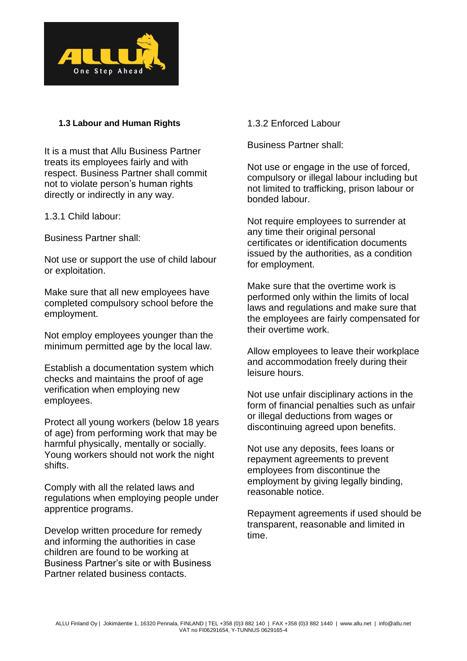

### **1.3 Labour and Human Rights**

It is a must that Allu Business Partner treats its employees fairly and with respect. Business Partner shall commit not to violate person's human rights directly or indirectly in any way.

1.3.1 Child labour:

Business Partner shall:

Not use or support the use of child labour or exploitation.

Make sure that all new employees have completed compulsory school before the employment.

Not employ employees younger than the minimum permitted age by the local law.

Establish a documentation system which checks and maintains the proof of age verification when employing new employees.

Protect all young workers (below 18 years of age) from performing work that may be harmful physically, mentally or socially. Young workers should not work the night shifts.

Comply with all the related laws and regulations when employing people under apprentice programs.

Develop written procedure for remedy and informing the authorities in case children are found to be working at Business Partner's site or with Business Partner related business contacts.

1.3.2 Enforced Labour

Business Partner shall:

Not use or engage in the use of forced, compulsory or illegal labour including but not limited to trafficking, prison labour or bonded labour.

Not require employees to surrender at any time their original personal certificates or identification documents issued by the authorities, as a condition for employment.

Make sure that the overtime work is performed only within the limits of local laws and regulations and make sure that the employees are fairly compensated for their overtime work.

Allow employees to leave their workplace and accommodation freely during their leisure hours.

Not use unfair disciplinary actions in the form of financial penalties such as unfair or illegal deductions from wages or discontinuing agreed upon benefits.

Not use any deposits, fees loans or repayment agreements to prevent employees from discontinue the employment by giving legally binding, reasonable notice.

Repayment agreements if used should be transparent, reasonable and limited in time.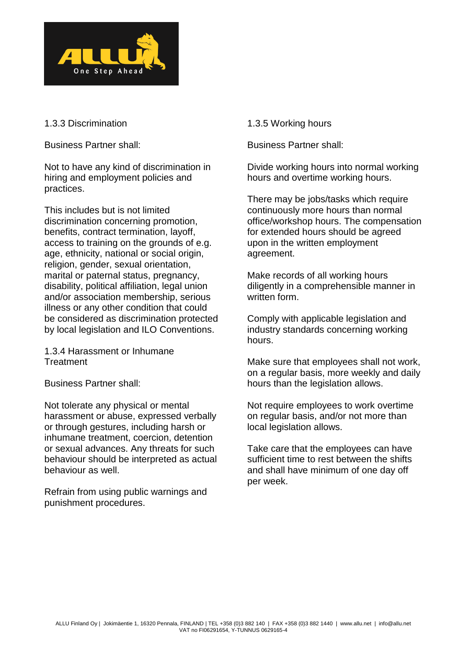

### 1.3.3 Discrimination

Business Partner shall:

Not to have any kind of discrimination in hiring and employment policies and practices.

This includes but is not limited discrimination concerning promotion, benefits, contract termination, layoff, access to training on the grounds of e.g. age, ethnicity, national or social origin, religion, gender, sexual orientation, marital or paternal status, pregnancy, disability, political affiliation, legal union and/or association membership, serious illness or any other condition that could be considered as discrimination protected by local legislation and ILO Conventions.

1.3.4 Harassment or Inhumane **Treatment** 

Business Partner shall:

Not tolerate any physical or mental harassment or abuse, expressed verbally or through gestures, including harsh or inhumane treatment, coercion, detention or sexual advances. Any threats for such behaviour should be interpreted as actual behaviour as well.

Refrain from using public warnings and punishment procedures.

1.3.5 Working hours

Business Partner shall:

Divide working hours into normal working hours and overtime working hours.

There may be jobs/tasks which require continuously more hours than normal office/workshop hours. The compensation for extended hours should be agreed upon in the written employment agreement.

Make records of all working hours diligently in a comprehensible manner in written form.

Comply with applicable legislation and industry standards concerning working hours.

Make sure that employees shall not work, on a regular basis, more weekly and daily hours than the legislation allows.

Not require employees to work overtime on regular basis, and/or not more than local legislation allows.

Take care that the employees can have sufficient time to rest between the shifts and shall have minimum of one day off per week.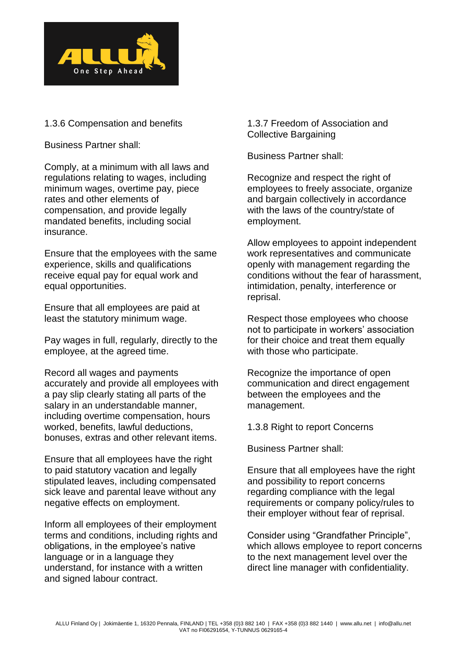

## 1.3.6 Compensation and benefits

Business Partner shall:

Comply, at a minimum with all laws and regulations relating to wages, including minimum wages, overtime pay, piece rates and other elements of compensation, and provide legally mandated benefits, including social insurance.

Ensure that the employees with the same experience, skills and qualifications receive equal pay for equal work and equal opportunities.

Ensure that all employees are paid at least the statutory minimum wage.

Pay wages in full, regularly, directly to the employee, at the agreed time.

Record all wages and payments accurately and provide all employees with a pay slip clearly stating all parts of the salary in an understandable manner, including overtime compensation, hours worked, benefits, lawful deductions, bonuses, extras and other relevant items.

Ensure that all employees have the right to paid statutory vacation and legally stipulated leaves, including compensated sick leave and parental leave without any negative effects on employment.

Inform all employees of their employment terms and conditions, including rights and obligations, in the employee's native language or in a language they understand, for instance with a written and signed labour contract.

1.3.7 Freedom of Association and Collective Bargaining

Business Partner shall:

Recognize and respect the right of employees to freely associate, organize and bargain collectively in accordance with the laws of the country/state of employment.

Allow employees to appoint independent work representatives and communicate openly with management regarding the conditions without the fear of harassment, intimidation, penalty, interference or reprisal.

Respect those employees who choose not to participate in workers' association for their choice and treat them equally with those who participate.

Recognize the importance of open communication and direct engagement between the employees and the management.

1.3.8 Right to report Concerns

Business Partner shall:

Ensure that all employees have the right and possibility to report concerns regarding compliance with the legal requirements or company policy/rules to their employer without fear of reprisal.

Consider using "Grandfather Principle", which allows employee to report concerns to the next management level over the direct line manager with confidentiality.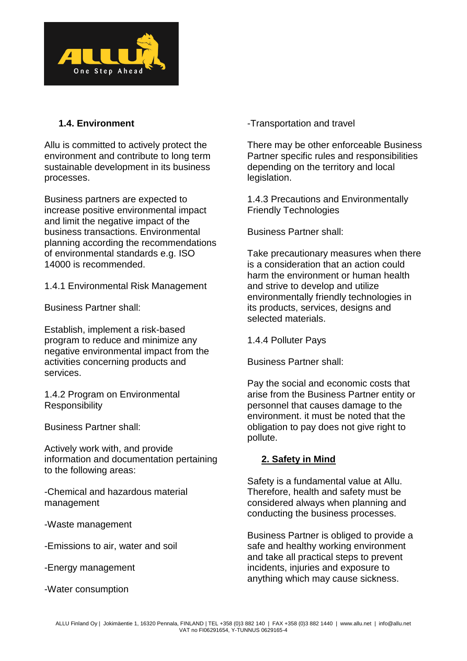

# **1.4. Environment**

Allu is committed to actively protect the environment and contribute to long term sustainable development in its business processes.

Business partners are expected to increase positive environmental impact and limit the negative impact of the business transactions. Environmental planning according the recommendations of environmental standards e.g. ISO 14000 is recommended.

1.4.1 Environmental Risk Management

Business Partner shall:

Establish, implement a risk-based program to reduce and minimize any negative environmental impact from the activities concerning products and services.

1.4.2 Program on Environmental **Responsibility** 

Business Partner shall:

Actively work with, and provide information and documentation pertaining to the following areas:

-Chemical and hazardous material management

-Waste management

-Emissions to air, water and soil

-Energy management

-Water consumption

-Transportation and travel

There may be other enforceable Business Partner specific rules and responsibilities depending on the territory and local legislation.

1.4.3 Precautions and Environmentally Friendly Technologies

Business Partner shall:

Take precautionary measures when there is a consideration that an action could harm the environment or human health and strive to develop and utilize environmentally friendly technologies in its products, services, designs and selected materials.

1.4.4 Polluter Pays

Business Partner shall:

Pay the social and economic costs that arise from the Business Partner entity or personnel that causes damage to the environment. it must be noted that the obligation to pay does not give right to pollute.

## **2. Safety in Mind**

Safety is a fundamental value at Allu. Therefore, health and safety must be considered always when planning and conducting the business processes.

Business Partner is obliged to provide a safe and healthy working environment and take all practical steps to prevent incidents, injuries and exposure to anything which may cause sickness.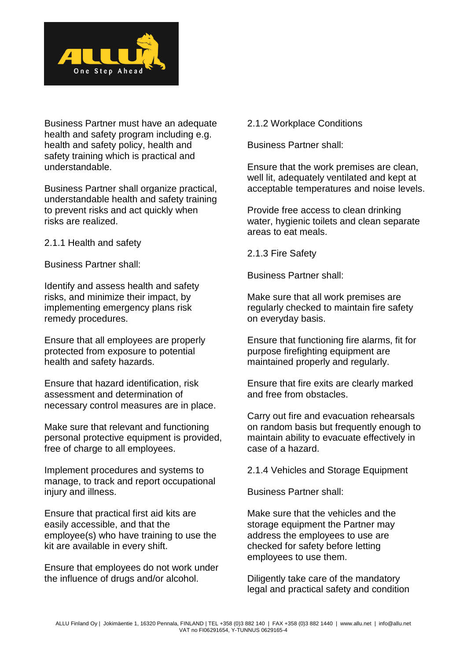

Business Partner must have an adequate health and safety program including e.g. health and safety policy, health and safety training which is practical and understandable.

Business Partner shall organize practical, understandable health and safety training to prevent risks and act quickly when risks are realized.

2.1.1 Health and safety

Business Partner shall:

Identify and assess health and safety risks, and minimize their impact, by implementing emergency plans risk remedy procedures.

Ensure that all employees are properly protected from exposure to potential health and safety hazards.

Ensure that hazard identification, risk assessment and determination of necessary control measures are in place.

Make sure that relevant and functioning personal protective equipment is provided, free of charge to all employees.

Implement procedures and systems to manage, to track and report occupational injury and illness.

Ensure that practical first aid kits are easily accessible, and that the employee(s) who have training to use the kit are available in every shift.

Ensure that employees do not work under the influence of drugs and/or alcohol.

2.1.2 Workplace Conditions

Business Partner shall:

Ensure that the work premises are clean, well lit, adequately ventilated and kept at acceptable temperatures and noise levels.

Provide free access to clean drinking water, hygienic toilets and clean separate areas to eat meals.

2.1.3 Fire Safety

Business Partner shall:

Make sure that all work premises are regularly checked to maintain fire safety on everyday basis.

Ensure that functioning fire alarms, fit for purpose firefighting equipment are maintained properly and regularly.

Ensure that fire exits are clearly marked and free from obstacles.

Carry out fire and evacuation rehearsals on random basis but frequently enough to maintain ability to evacuate effectively in case of a hazard.

2.1.4 Vehicles and Storage Equipment

Business Partner shall:

Make sure that the vehicles and the storage equipment the Partner may address the employees to use are checked for safety before letting employees to use them.

Diligently take care of the mandatory legal and practical safety and condition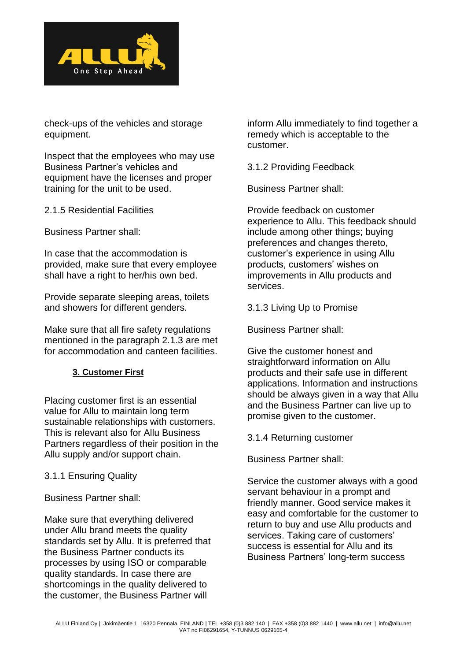

check-ups of the vehicles and storage equipment.

Inspect that the employees who may use Business Partner's vehicles and equipment have the licenses and proper training for the unit to be used.

2.1.5 Residential Facilities

Business Partner shall:

In case that the accommodation is provided, make sure that every employee shall have a right to her/his own bed.

Provide separate sleeping areas, toilets and showers for different genders.

Make sure that all fire safety regulations mentioned in the paragraph 2.1.3 are met for accommodation and canteen facilities.

### **3. Customer First**

Placing customer first is an essential value for Allu to maintain long term sustainable relationships with customers. This is relevant also for Allu Business Partners regardless of their position in the Allu supply and/or support chain.

### 3.1.1 Ensuring Quality

Business Partner shall:

Make sure that everything delivered under Allu brand meets the quality standards set by Allu. It is preferred that the Business Partner conducts its processes by using ISO or comparable quality standards. In case there are shortcomings in the quality delivered to the customer, the Business Partner will

inform Allu immediately to find together a remedy which is acceptable to the customer.

3.1.2 Providing Feedback

Business Partner shall:

Provide feedback on customer experience to Allu. This feedback should include among other things; buying preferences and changes thereto, customer's experience in using Allu products, customers' wishes on improvements in Allu products and services.

3.1.3 Living Up to Promise

Business Partner shall:

Give the customer honest and straightforward information on Allu products and their safe use in different applications. Information and instructions should be always given in a way that Allu and the Business Partner can live up to promise given to the customer.

3.1.4 Returning customer

Business Partner shall:

Service the customer always with a good servant behaviour in a prompt and friendly manner. Good service makes it easy and comfortable for the customer to return to buy and use Allu products and services. Taking care of customers' success is essential for Allu and its Business Partners' long-term success